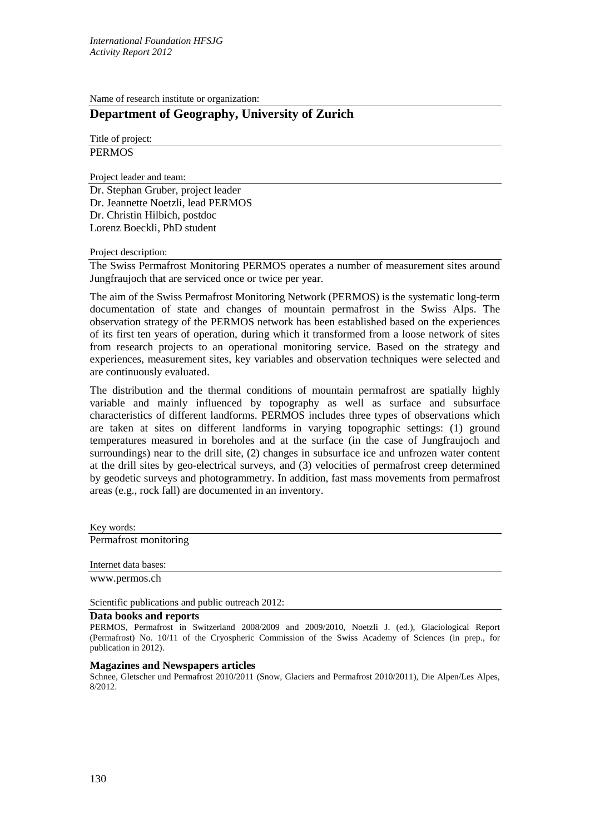Name of research institute or organization:

## **Department of Geography, University of Zurich**

Title of project: **PERMOS** 

Project leader and team:

Dr. Stephan Gruber, project leader Dr. Jeannette Noetzli, lead PERMOS Dr. Christin Hilbich, postdoc Lorenz Boeckli, PhD student

Project description:

The Swiss Permafrost Monitoring PERMOS operates a number of measurement sites around Jungfraujoch that are serviced once or twice per year.

The aim of the Swiss Permafrost Monitoring Network (PERMOS) is the systematic long-term documentation of state and changes of mountain permafrost in the Swiss Alps. The observation strategy of the PERMOS network has been established based on the experiences of its first ten years of operation, during which it transformed from a loose network of sites from research projects to an operational monitoring service. Based on the strategy and experiences, measurement sites, key variables and observation techniques were selected and are continuously evaluated.

The distribution and the thermal conditions of mountain permafrost are spatially highly variable and mainly influenced by topography as well as surface and subsurface characteristics of different landforms. PERMOS includes three types of observations which are taken at sites on different landforms in varying topographic settings: (1) ground temperatures measured in boreholes and at the surface (in the case of Jungfraujoch and surroundings) near to the drill site, (2) changes in subsurface ice and unfrozen water content at the drill sites by geo-electrical surveys, and (3) velocities of permafrost creep determined by geodetic surveys and photogrammetry. In addition, fast mass movements from permafrost areas (e.g., rock fall) are documented in an inventory.

Key words:

Permafrost monitoring

Internet data bases:

www.permos.ch

Scientific publications and public outreach 2012:

## **Data books and reports**

PERMOS, Permafrost in Switzerland 2008/2009 and 2009/2010, Noetzli J. (ed.), Glaciological Report (Permafrost) No. 10/11 of the Cryospheric Commission of the Swiss Academy of Sciences (in prep., for publication in 2012).

## **Magazines and Newspapers articles**

Schnee, Gletscher und Permafrost 2010/2011 (Snow, Glaciers and Permafrost 2010/2011), Die Alpen/Les Alpes, 8/2012.